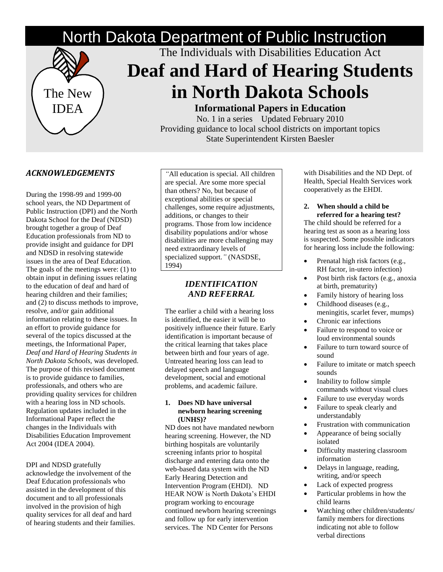# North Dakota Department of Public Instruction



The Individuals with Disabilities Education Act

# **Deaf and Hard of Hearing Students in North Dakota Schools**

**Informational Papers in Education**

No. 1 in a series Updated February 2010 Providing guidance to local school districts on important topics State Superintendent Kirsten Baesler

### *ACKNOWLEDGEMENTS*

During the 1998-99 and 1999-00 school years, the ND Department of Public Instruction (DPI) and the North Dakota School for the Deaf (NDSD) brought together a group of Deaf Education professionals from ND to provide insight and guidance for DPI and NDSD in resolving statewide issues in the area of Deaf Education. The goals of the meetings were: (1) to obtain input in defining issues relating to the education of deaf and hard of hearing children and their families; and (2) to discuss methods to improve, resolve, and/or gain additional information relating to these issues. In an effort to provide guidance for several of the topics discussed at the meetings, the Informational Paper, *Deaf and Hard of Hearing Students in North Dakota Schools,* was developed. The purpose of this revised document is to provide guidance to families, professionals, and others who are providing quality services for children with a hearing loss in ND schools. Regulation updates included in the Informational Paper reflect the changes in the Individuals with Disabilities Education Improvement Act 2004 (IDEA 2004).

DPI and NDSD gratefully acknowledge the involvement of the Deaf Education professionals who assisted in the development of this document and to all professionals involved in the provision of high quality services for all deaf and hard of hearing students and their families.

*"*All education is special. All children are special. Are some more special than others? No, but because of exceptional abilities or special challenges, some require adjustments, additions, or changes to their programs. Those from low incidence disability populations and/or whose disabilities are more challenging may need extraordinary levels of specialized support.*"* (NASDSE, 1994)

#### *IDENTIFICATION AND REFERRAL*

The earlier a child with a hearing loss is identified, the easier it will be to positively influence their future. Early identification is important because of the critical learning that takes place between birth and four years of age. Untreated hearing loss can lead to delayed speech and language development, social and emotional problems, and academic failure.

#### **1. Does ND have universal newborn hearing screening (UNHS)?**

ND does not have mandated newborn hearing screening. However, the ND birthing hospitals are voluntarily screening infants prior to hospital discharge and entering data onto the web-based data system with the ND Early Hearing Detection and Intervention Program (EHDI). ND HEAR NOW is North Dakota's EHDI program working to encourage continued newborn hearing screenings and follow up for early intervention services. The ND Center for Persons

with Disabilities and the ND Dept. of Health, Special Health Services work cooperatively as the EHDI.

**2. When should a child be referred for a hearing test?**

The child should be referred for a hearing test as soon as a hearing loss is suspected. Some possible indicators for hearing loss include the following:

- $\bullet$  Prenatal high risk factors (e.g., RH factor, in-utero infection)
- Post birth risk factors (e.g., anoxia at birth, prematurity)
- Family history of hearing loss
- Childhood diseases (e.g., meningitis, scarlet fever, mumps)
- Chronic ear infections
- Failure to respond to voice or loud environmental sounds
- Failure to turn toward source of sound
- Failure to imitate or match speech sounds
- Inability to follow simple commands without visual clues
- Failure to use everyday words
- Failure to speak clearly and understandably
- Frustration with communication
- Appearance of being socially isolated
- Difficulty mastering classroom information
- Delays in language, reading, writing, and/or speech
- Lack of expected progress
- Particular problems in how the child learns
- Watching other children/students/ family members for directions indicating not able to follow verbal directions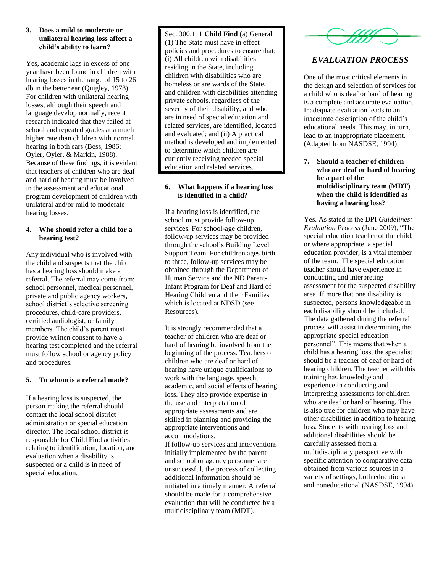#### **3. Does a mild to moderate or unilateral hearing loss affect a child's ability to learn?**

Yes, academic lags in excess of one year have been found in children with hearing losses in the range of 15 to 26 db in the better ear (Quigley, 1978). For children with unilateral hearing losses, although their speech and language develop normally, recent research indicated that they failed at school and repeated grades at a much higher rate than children with normal hearing in both ears (Bess, 1986; Oyler, Oyler, & Markin, 1988). Because of these findings, it is evident that teachers of children who are deaf and hard of hearing must be involved in the assessment and educational program development of children with unilateral and/or mild to moderate hearing losses.

#### **4. Who should refer a child for a hearing test?**

Any individual who is involved with the child and suspects that the child has a hearing loss should make a referral. The referral may come from: school personnel, medical personnel, private and public agency workers, school district's selective screening procedures, child-care providers, certified audiologist, or family members. The child's parent must provide written consent to have a hearing test completed and the referral must follow school or agency policy and procedures.

#### **5. To whom is a referral made?**

If a hearing loss is suspected, the person making the referral should contact the local school district administration or special education director. The local school district is responsible for Child Find activities relating to identification, location, and evaluation when a disability is suspected or a child is in need of special education.

Sec. 300.111 **Child Find** (a) General (1) The State must have in effect policies and procedures to ensure that: (i) All children with disabilities residing in the State, including children with disabilities who are homeless or are wards of the State, and children with disabilities attending private schools, regardless of the severity of their disability, and who are in need of special education and related services, are identified, located and evaluated; and (ii) A practical method is developed and implemented to determine which children are currently receiving needed special education and related services.

#### **6. What happens if a hearing loss is identified in a child?**

If a hearing loss is identified, the school must provide follow-up services. For school-age children, follow-up services may be provided through the school's Building Level Support Team. For children ages birth to three, follow-up services may be obtained through the Department of Human Service and the ND Parent-Infant Program for Deaf and Hard of Hearing Children and their Families which is located at NDSD (see Resources).

It is strongly recommended that a teacher of children who are deaf or hard of hearing be involved from the beginning of the process. Teachers of children who are deaf or hard of hearing have unique qualifications to work with the language, speech, academic, and social effects of hearing loss. They also provide expertise in the use and interpretation of appropriate assessments and are skilled in planning and providing the appropriate interventions and accommodations.

If follow-up services and interventions initially implemented by the parent and school or agency personnel are unsuccessful, the process of collecting additional information should be initiated in a timely manner. A referral should be made for a comprehensive evaluation that will be conducted by a multidisciplinary team (MDT).



## *EVALUATION PROCESS*

One of the most critical elements in the design and selection of services for a child who is deaf or hard of hearing is a complete and accurate evaluation. Inadequate evaluation leads to an inaccurate description of the child's educational needs. This may, in turn, lead to an inappropriate placement. (Adapted from NASDSE, 1994).

**7. Should a teacher of children who are deaf or hard of hearing be a part of the multidisciplinary team (MDT) when the child is identified as having a hearing loss?**

Yes. As stated in the DPI *Guidelines: Evaluation Process* (June 2009), "The special education teacher of the child, or where appropriate, a special education provider, is a vital member of the team. The special education teacher should have experience in conducting and interpreting assessment for the suspected disability area. If more that one disability is suspected, persons knowledgeable in each disability should be included. The data gathered during the referral process will assist in determining the appropriate special education personnel". This means that when a child has a hearing loss, the specialist should be a teacher of deaf or hard of hearing children. The teacher with this training has knowledge and experience in conducting and interpreting assessments for children who are deaf or hard of hearing. This is also true for children who may have other disabilities in addition to hearing loss. Students with hearing loss and additional disabilities should be carefully assessed from a multidisciplinary perspective with specific attention to comparative data obtained from various sources in a variety of settings, both educational and noneducational (NASDSE, 1994).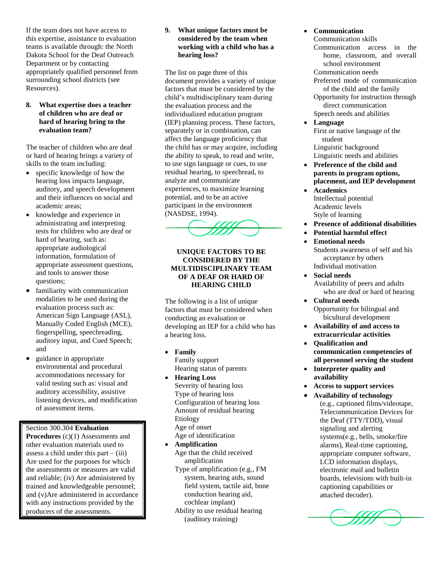If the team does not have access to this expertise, assistance to evaluation teams is available through: the North Dakota School for the Deaf Outreach Department or by contacting appropriately qualified personnel from surrounding school districts (see Resources).

#### **8. What expertise does a teacher of children who are deaf or hard of hearing bring to the evaluation team?**

The teacher of children who are deaf or hard of hearing brings a variety of skills to the team including:

- specific knowledge of how the hearing loss impacts language, auditory, and speech development and their influences on social and academic areas;
- knowledge and experience in administrating and interpreting tests for children who are deaf or hard of hearing, such as: appropriate audiological information, formulation of appropriate assessment questions, and tools to answer those questions;
- familiarity with communication modalities to be used during the evaluation process such as: American Sign Language (ASL), Manually Coded English (MCE), fingerspelling, speechreading, auditory input, and Cued Speech; and
- guidance in appropriate environmental and procedural accommodations necessary for valid testing such as: visual and auditory accessibility, assistive listening devices, and modification of assessment items.

Section 300.304 **Evaluation Procedures** (c)(1) Assessments and other evaluation materials used to assess a child under this part  $-$  (iii) Are used for the purposes for which the assessments or measures are valid and reliable; (iv) Are administered by trained and knowledgeable personnel; and (v)Are administered in accordance with any instructions provided by the producers of the assessments.

#### **9. What unique factors must be considered by the team when working with a child who has a hearing loss?**

The list on page three of this document provides a variety of unique factors that must be considered by the child's multidisciplinary team during the evaluation process and the individualized education program (IEP) planning process. These factors, separately or in combination, can affect the language proficiency that the child has or may acquire, including the ability to speak, to read and write, to use sign language or cues, to use residual hearing, to speechread, to analyze and communicate experiences, to maximize learning potential, and to be an active participant in the environment (NASDSE, 1994).



#### **UNIQUE FACTORS TO BE CONSIDERED BY THE MULTIDISCIPLINARY TEAM OF A DEAF OR HARD OF HEARING CHILD**

The following is a list of unique factors that must be considered when conducting an evaluation or developing an IEP for a child who has a hearing loss.

- **Family** Family support Hearing status of parents
- **Hearing Loss** Severity of hearing loss Type of hearing loss Configuration of hearing loss Amount of residual hearing Etiology Age of onset Age of identification
- **Amplification** Age that the child received amplification
	- Type of amplification (e.g., FM system, hearing aids, sound field system, tactile aid, bone conduction hearing aid, cochlear implant) Ability to use residual hearing (auditory training)

#### **Communication**

- Communication skills
- Communication access in the home, classroom, and overall school environment

Communication needs Preferred mode of communication

of the child and the family Opportunity for instruction through

direct communication Speech needs and abilities

**Language**

First or native language of the student

Linguistic background Linguistic needs and abilities

- **Preference of the child and parents in program options, placement, and IEP development**
- **Academics** Intellectual potential Academic levels Style of learning
- **Presence of additional disabilities**
- **Potential harmful effect**
- **Emotional needs** Students awareness of self and his acceptance by others Individual motivation
- **Social needs** Availability of peers and adults who are deaf or hard of hearing
- **Cultural needs** Opportunity for bilingual and bicultural development
- **Availability of and access to extracurricular activities**
- **Qualification and communication competencies of all personnel serving the student**
- **Interpreter quality and availability**
- **Access to support services**
- **Availability of technology**  (e.g., captioned films/videotape, Telecommunication Devices for the Deaf (TTY/TDD), visual signaling and alerting systems(e.g., bells, smoke/fire alarms), Real-time captioning, appropriate computer software, LCD information displays, electronic mail and bulletin boards, televisions with built-in captioning capabilities or attached decoder).

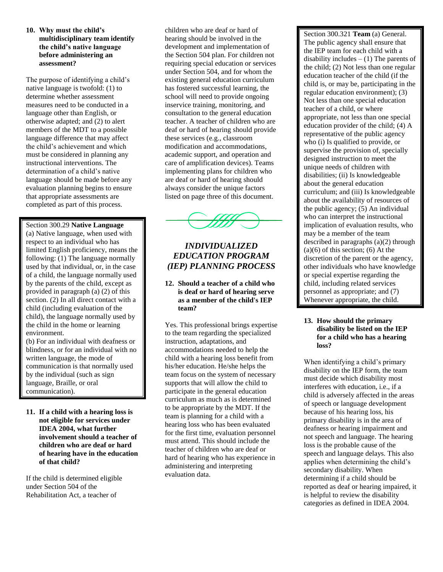#### **10. Why must the child's multidisciplinary team identify the child's native language before administering an assessment?**

The purpose of identifying a child's native language is twofold: (1) to determine whether assessment measures need to be conducted in a language other than English, or otherwise adapted; and (2) to alert members of the MDT to a possible language difference that may affect the child's achievement and which must be considered in planning any instructional interventions. The determination of a child's native language should be made before any evaluation planning begins to ensure that appropriate assessments are completed as part of this process.

#### Section 300.29 **Native Language**

(a) Native language, when used with respect to an individual who has limited English proficiency, means the following: (1) The language normally used by that individual, or, in the case of a child, the language normally used by the parents of the child, except as provided in paragraph (a) (2) of this section. (2) In all direct contact with a child (including evaluation of the child), the language normally used by the child in the home or learning environment.

(b) For an individual with deafness or blindness, or for an individual with no written language, the mode of communication is that normally used by the individual (such as sign language, Braille, or oral communication).

**11. If a child with a hearing loss is not eligible for services under IDEA 2004, what further involvement should a teacher of children who are deaf or hard of hearing have in the education of that child?**

If the child is determined eligible under Section 504 of the Rehabilitation Act, a teacher of

children who are deaf or hard of hearing should be involved in the development and implementation of the Section 504 plan. For children not requiring special education or services under Section 504, and for whom the existing general education curriculum has fostered successful learning, the school will need to provide ongoing inservice training, monitoring, and consultation to the general education teacher. A teacher of children who are deaf or hard of hearing should provide these services (e.g., classroom modification and accommodations, academic support, and operation and care of amplification devices). Teams implementing plans for children who are deaf or hard of hearing should always consider the unique factors listed on page three of this document.



### *INDIVIDUALIZED EDUCATION PROGRAM (IEP) PLANNING PROCESS*

#### **12. Should a teacher of a child who is deaf or hard of hearing serve as a member of the child's IEP team?**

Yes. This professional brings expertise to the team regarding the specialized instruction, adaptations, and accommodations needed to help the child with a hearing loss benefit from his/her education. He/she helps the team focus on the system of necessary supports that will allow the child to participate in the general education curriculum as much as is determined to be appropriate by the MDT. If the team is planning for a child with a hearing loss who has been evaluated for the first time, evaluation personnel must attend. This should include the teacher of children who are deaf or hard of hearing who has experience in administering and interpreting evaluation data.

Section 300.321 **Team** (a) General. The public agency shall ensure that the IEP team for each child with a disability includes  $- (1)$  The parents of the child; (2) Not less than one regular education teacher of the child (if the child is, or may be, participating in the regular education environment); (3) Not less than one special education teacher of a child, or where appropriate, not less than one special education provider of the child; (4) A representative of the public agency who (i) Is qualified to provide, or supervise the provision of, specially designed instruction to meet the unique needs of children with disabilities; (ii) Is knowledgeable about the general education curriculum; and (iii) Is knowledgeable about the availability of resources of the public agency; (5) An individual who can interpret the instructional implication of evaluation results, who may be a member of the team described in paragraphs (a)(2) through  $(a)(6)$  of this section;  $(6)$  At the discretion of the parent or the agency, other individuals who have knowledge or special expertise regarding the child, including related services personnel as appropriate; and (7) Whenever appropriate, the child.

#### **13. How should the primary disability be listed on the IEP for a child who has a hearing loss?**

When identifying a child's primary disability on the IEP form, the team must decide which disability most interferes with education, i.e., if a child is adversely affected in the areas of speech or language development because of his hearing loss, his primary disability is in the area of deafness or hearing impairment and not speech and language. The hearing loss is the probable cause of the speech and language delays. This also applies when determining the child's secondary disability. When determining if a child should be reported as deaf or hearing impaired, it is helpful to review the disability categories as defined in IDEA 2004.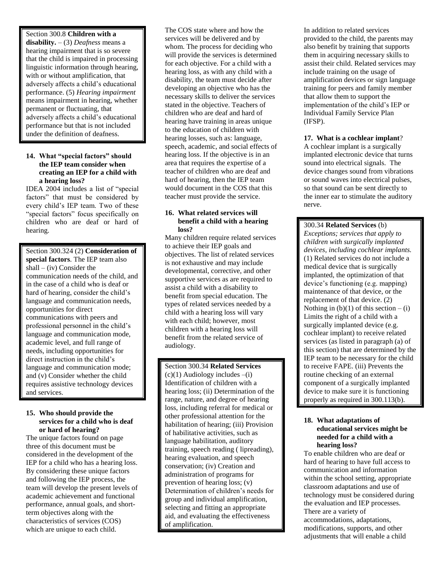#### Section 300.8 **Children with a**

**disability.** – (3) *Deafness* means a hearing impairment that is so severe that the child is impaired in processing linguistic information through hearing, with or without amplification, that adversely affects a child's educational performance. (5) *Hearing impairment*  means impairment in hearing, whether permanent or fluctuating, that adversely affects a child's educational performance but that is not included under the definition of deafness.

#### **14. What "special factors" should the IEP team consider when creating an IEP for a child with a hearing loss?**

IDEA 2004 includes a list of "special factors" that must be considered by every child's IEP team. Two of these "special factors" focus specifically on children who are deaf or hard of hearing.

Section 300.324 (2) **Consideration of special factors**. The IEP team also  $shall - (iv) Consider the$ communication needs of the child, and in the case of a child who is deaf or hard of hearing, consider the child's language and communication needs, opportunities for direct communications with peers and professional personnel in the child's language and communication mode, academic level, and full range of needs, including opportunities for direct instruction in the child's language and communication mode; and (v) Consider whether the child requires assistive technology devices and services.

#### **15. Who should provide the services for a child who is deaf or hard of hearing?**

The unique factors found on page three of this document must be considered in the development of the IEP for a child who has a hearing loss. By considering these unique factors and following the IEP process, the team will develop the present levels of academic achievement and functional performance, annual goals, and shortterm objectives along with the characteristics of services (COS) which are unique to each child.

The COS state where and how the services will be delivered and by whom. The process for deciding who will provide the services is determined for each objective. For a child with a hearing loss, as with any child with a disability, the team must decide after developing an objective who has the necessary skills to deliver the services stated in the objective. Teachers of children who are deaf and hard of hearing have training in areas unique to the education of children with hearing losses, such as: language, speech, academic, and social effects of hearing loss. If the objective is in an area that requires the expertise of a teacher of children who are deaf and hard of hearing, then the IEP team would document in the COS that this teacher must provide the service.

#### **16. What related services will benefit a child with a hearing loss?**

Many children require related services to achieve their IEP goals and objectives. The list of related services is not exhaustive and may include developmental, corrective, and other supportive services as are required to assist a child with a disability to benefit from special education. The types of related services needed by a child with a hearing loss will vary with each child; however, most children with a hearing loss will benefit from the related service of audiology.

Section 300.34 **Related Services**   $(c)(1)$  Audiology includes  $-(i)$ Identification of children with a hearing loss; (ii) Determination of the range, nature, and degree of hearing loss, including referral for medical or other professional attention for the habilitation of hearing; (iii) Provision of habilitative activities, such as language habilitation, auditory training, speech reading ( lipreading), hearing evaluation, and speech conservation; (iv) Creation and administration of programs for prevention of hearing loss; (v) Determination of children's needs for group and individual amplification, selecting and fitting an appropriate aid, and evaluating the effectiveness of amplification.

In addition to related services provided to the child, the parents may also benefit by training that supports them in acquiring necessary skills to assist their child. Related services may include training on the usage of amplification devices or sign language training for peers and family member that allow them to support the implementation of the child's IEP or Individual Family Service Plan (IFSP).

#### **17. What is a cochlear implant**?

A cochlear implant is a surgically implanted electronic device that turns sound into electrical signals. The device changes sound from vibrations or sound waves into electrical pulses, so that sound can be sent directly to the inner ear to stimulate the auditory nerve.

#### 300.34 **Related Services** (b)

*Exceptions; services that apply to children with surgically implanted devices, including cochlear implants.* (1) Related services do not include a medical device that is surgically implanted, the optimization of that device's functioning (e.g. mapping) maintenance of that device, or the replacement of that device. (2) Nothing in  $(b)(1)$  of this section  $-(i)$ Limits the right of a child with a surgically implanted device (e.g. cochlear implant) to receive related services (as listed in paragraph (a) of this section) that are determined by the IEP team to be necessary for the child to receive FAPE. (iii) Prevents the routine checking of an external component of a surgically implanted device to make sure it is functioning properly as required in 300.113(b).

#### **18. What adaptations of educational services might be needed for a child with a hearing loss?**

To enable children who are deaf or hard of hearing to have full access to communication and information within the school setting, appropriate classroom adaptations and use of technology must be considered during the evaluation and IEP processes. There are a variety of accommodations, adaptations, modifications, supports, and other adjustments that will enable a child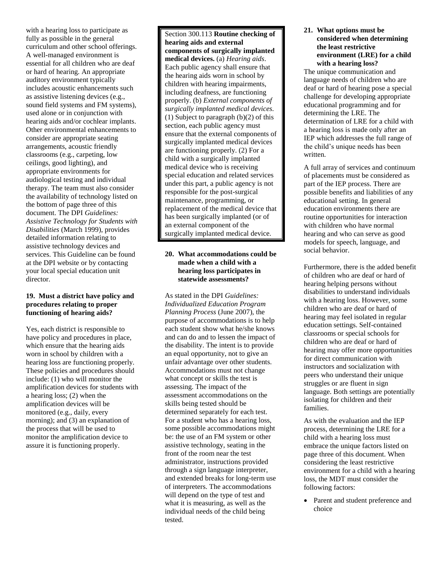with a hearing loss to participate as fully as possible in the general curriculum and other school offerings. A well-managed environment is essential for all children who are deaf or hard of hearing. An appropriate auditory environment typically includes acoustic enhancements such as assistive listening devices (e.g., sound field systems and FM systems), used alone or in conjunction with hearing aids and/or cochlear implants. Other environmental enhancements to consider are appropriate seating arrangements, acoustic friendly classrooms (e.g., carpeting, low ceilings, good lighting), and appropriate environments for audiological testing and individual therapy. The team must also consider the availability of technology listed on the bottom of page three of this document. The DPI *Guidelines: Assistive Technology for Students with Disabilities* (March 1999), provides detailed information relating to assistive technology devices and services. This Guideline can be found at the DPI website or by contacting your local special education unit director.

#### **19. Must a district have policy and procedures relating to proper functioning of hearing aids?**

Yes, each district is responsible to have policy and procedures in place, which ensure that the hearing aids worn in school by children with a hearing loss are functioning properly. These policies and procedures should include: (1) who will monitor the amplification devices for students with a hearing loss; (2) when the amplification devices will be monitored (e.g., daily, every morning); and (3) an explanation of the process that will be used to monitor the amplification device to assure it is functioning properly.

Section 300.113 **Routine checking of hearing aids and external components of surgically implanted medical devices.** (a) *Hearing aids*. Each public agency shall ensure that the hearing aids worn in school by children with hearing impairments, including deafness, are functioning properly. (b) *External components of surgically implanted medical devices.* (1) Subject to paragraph (b)(2) of this section, each public agency must ensure that the external components of surgically implanted medical devices are functioning properly. (2) For a child with a surgically implanted medical device who is receiving special education and related services under this part, a public agency is not responsible for the post-surgical maintenance, programming, or replacement of the medical device that has been surgically implanted (or of an external component of the surgically implanted medical device.

#### **20. What accommodations could be made when a child with a hearing loss participates in statewide assessments?**

As stated in the DPI *Guidelines: Individualized Education Program Planning Process* (June 2007), the purpose of accommodations is to help each student show what he/she knows and can do and to lessen the impact of the disability. The intent is to provide an equal opportunity, not to give an unfair advantage over other students. Accommodations must not change what concept or skills the test is assessing. The impact of the assessment accommodations on the skills being tested should be determined separately for each test. For a student who has a hearing loss, some possible accommodations might be: the use of an FM system or other assistive technology, seating in the front of the room near the test administrator, instructions provided through a sign language interpreter, and extended breaks for long-term use of interpreters. The accommodations will depend on the type of test and what it is measuring, as well as the individual needs of the child being tested.

#### **21. What options must be considered when determining the least restrictive environment (LRE) for a child with a hearing loss?**

The unique communication and language needs of children who are deaf or hard of hearing pose a special challenge for developing appropriate educational programming and for determining the LRE. The determination of LRE for a child with a hearing loss is made only after an IEP which addresses the full range of the child's unique needs has been written.

A full array of services and continuum of placements must be considered as part of the IEP process. There are possible benefits and liabilities of any educational setting. In general education environments there are routine opportunities for interaction with children who have normal hearing and who can serve as good models for speech, language, and social behavior.

Furthermore, there is the added benefit of children who are deaf or hard of hearing helping persons without disabilities to understand individuals with a hearing loss. However, some children who are deaf or hard of hearing may feel isolated in regular education settings. Self-contained classrooms or special schools for children who are deaf or hard of hearing may offer more opportunities for direct communication with instructors and socialization with peers who understand their unique struggles or are fluent in sign language. Both settings are potentially isolating for children and their families.

As with the evaluation and the IEP process, determining the LRE for a child with a hearing loss must embrace the unique factors listed on page three of this document. When considering the least restrictive environment for a child with a hearing loss, the MDT must consider the following factors:

 Parent and student preference and choice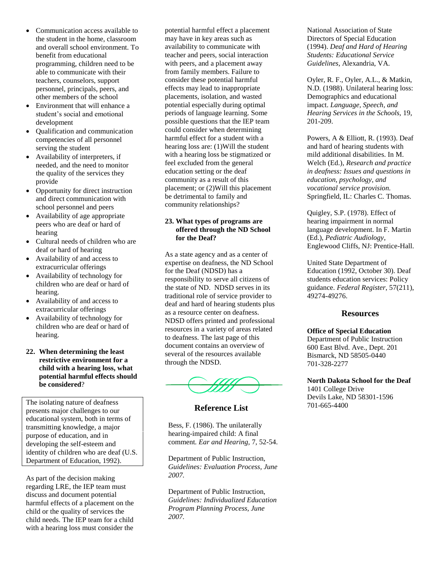- Communication access available to the student in the home, classroom and overall school environment. To benefit from educational programming, children need to be able to communicate with their teachers, counselors, support personnel, principals, peers, and other members of the school
- Environment that will enhance a student's social and emotional development
- Qualification and communication competencies of all personnel serving the student
- Availability of interpreters, if needed, and the need to monitor the quality of the services they provide
- Opportunity for direct instruction and direct communication with school personnel and peers
- Availability of age appropriate peers who are deaf or hard of hearing
- Cultural needs of children who are deaf or hard of hearing
- Availability of and access to extracurricular offerings
- Availability of technology for children who are deaf or hard of hearing.
- Availability of and access to extracurricular offerings
- Availability of technology for children who are deaf or hard of hearing.

#### **22. When determining the least restrictive environment for a child with a hearing loss, what potential harmful effects should be considered**?

The isolating nature of deafness presents major challenges to our educational system, both in terms of transmitting knowledge, a major purpose of education, and in developing the self-esteem and identity of children who are deaf (U.S. Department of Education, 1992).

As part of the decision making regarding LRE, the IEP team must discuss and document potential harmful effects of a placement on the child or the quality of services the child needs. The IEP team for a child with a hearing loss must consider the

potential harmful effect a placement may have in key areas such as availability to communicate with teacher and peers, social interaction with peers, and a placement away from family members. Failure to consider these potential harmful effects may lead to inappropriate placements, isolation, and wasted potential especially during optimal periods of language learning. Some possible questions that the IEP team could consider when determining harmful effect for a student with a hearing loss are: (1)Will the student with a hearing loss be stigmatized or feel excluded from the general education setting or the deaf community as a result of this placement; or (2)Will this placement be detrimental to family and community relationships?

#### **23. What types of programs are offered through the ND School for the Deaf?**

As a state agency and as a center of expertise on deafness, the ND School for the Deaf (NDSD) has a responsibility to serve all citizens of the state of ND. NDSD serves in its traditional role of service provider to deaf and hard of hearing students plus as a resource center on deafness. NDSD offers printed and professional resources in a variety of areas related to deafness. The last page of this document contains an overview of several of the resources available through the NDSD.



#### **Reference List**

Bess, F. (1986). The unilaterally hearing-impaired child: A final comment*. Ear and Hearing,* 7, 52-54.

Department of Public Instruction, *Guidelines: Evaluation Process, June 2007.*

Department of Public Instruction, *Guidelines: Individualized Education Program Planning Process, June 2007.*

National Association of State Directors of Special Education (1994). *Deaf and Hard of Hearing Students: Educational Service Guidelines*, Alexandria, VA.

Oyler, R. F., Oyler, A.L., & Matkin, N.D. (1988). Unilateral hearing loss: Demographics and educational impact. *Language, Speech, and Hearing Services in the Schools,* 19, 201-209.

Powers, A & Elliott, R. (1993). Deaf and hard of hearing students with mild additional disabilities. In M. Welch (Ed.), *Research and practice in deafness: Issues and questions in education, psychology, and vocational service provision.* Springfield, IL: Charles C. Thomas.

Quigley, S.P. (1978). Effect of hearing impairment in normal language development. In F. Martin (Ed.), *Pediatric Audiology*, Englewood Cliffs, NJ: Prentice-Hall.

United State Department of Education (1992, October 30). Deaf students education services: Policy guidance. *Federal Register*, 57(211), 49274-49276.

#### **Resources**

**Office of Special Education** Department of Public Instruction 600 East Blvd. Ave., Dept. 201 Bismarck, ND 58505-0440 701-328-2277

**North Dakota School for the Deaf** 1401 College Drive Devils Lake, ND 58301-1596 701-665-4400